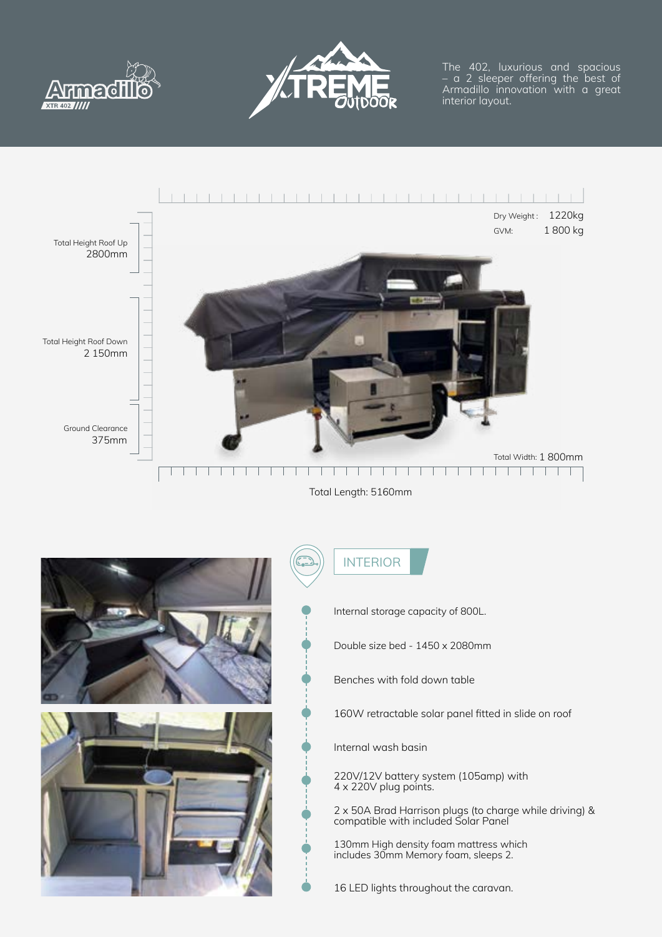



The 402, luxurious and spacious – a 2 sleeper offering the best of Armadillo innovation with a great interior layout.



Total Length: 5160mm